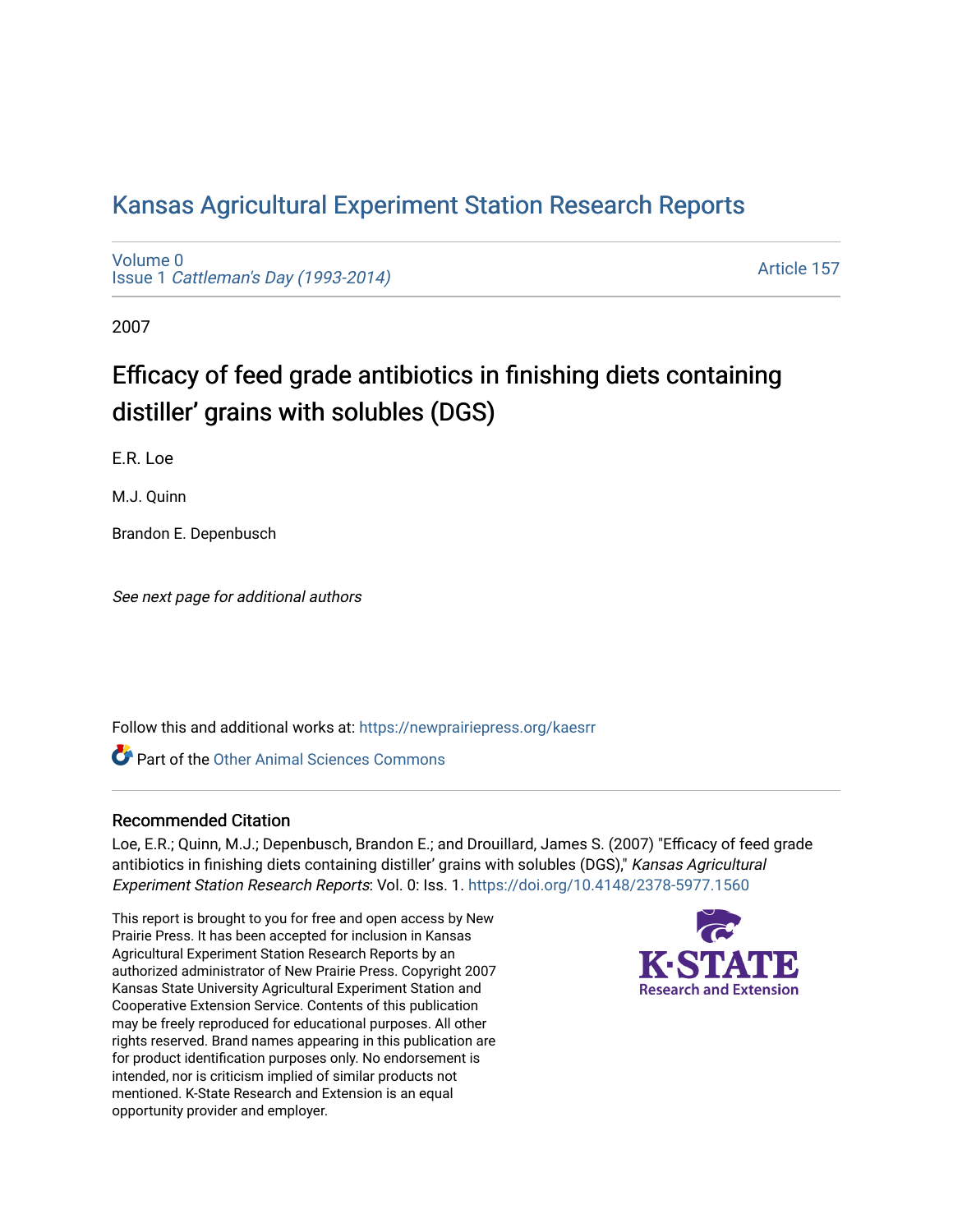## [Kansas Agricultural Experiment Station Research Reports](https://newprairiepress.org/kaesrr)

[Volume 0](https://newprairiepress.org/kaesrr/vol0) Issue 1 [Cattleman's Day \(1993-2014\)](https://newprairiepress.org/kaesrr/vol0/iss1) 

[Article 157](https://newprairiepress.org/kaesrr/vol0/iss1/157) 

2007

# Efficacy of feed grade antibiotics in finishing diets containing distiller' grains with solubles (DGS)

E.R. Loe

M.J. Quinn

Brandon E. Depenbusch

See next page for additional authors

Follow this and additional works at: [https://newprairiepress.org/kaesrr](https://newprairiepress.org/kaesrr?utm_source=newprairiepress.org%2Fkaesrr%2Fvol0%2Fiss1%2F157&utm_medium=PDF&utm_campaign=PDFCoverPages) 

**C** Part of the [Other Animal Sciences Commons](http://network.bepress.com/hgg/discipline/82?utm_source=newprairiepress.org%2Fkaesrr%2Fvol0%2Fiss1%2F157&utm_medium=PDF&utm_campaign=PDFCoverPages)

#### Recommended Citation

Loe, E.R.; Quinn, M.J.; Depenbusch, Brandon E.; and Drouillard, James S. (2007) "Efficacy of feed grade antibiotics in finishing diets containing distiller' grains with solubles (DGS)," Kansas Agricultural Experiment Station Research Reports: Vol. 0: Iss. 1. <https://doi.org/10.4148/2378-5977.1560>

This report is brought to you for free and open access by New Prairie Press. It has been accepted for inclusion in Kansas Agricultural Experiment Station Research Reports by an authorized administrator of New Prairie Press. Copyright 2007 Kansas State University Agricultural Experiment Station and Cooperative Extension Service. Contents of this publication may be freely reproduced for educational purposes. All other rights reserved. Brand names appearing in this publication are for product identification purposes only. No endorsement is intended, nor is criticism implied of similar products not mentioned. K-State Research and Extension is an equal opportunity provider and employer.

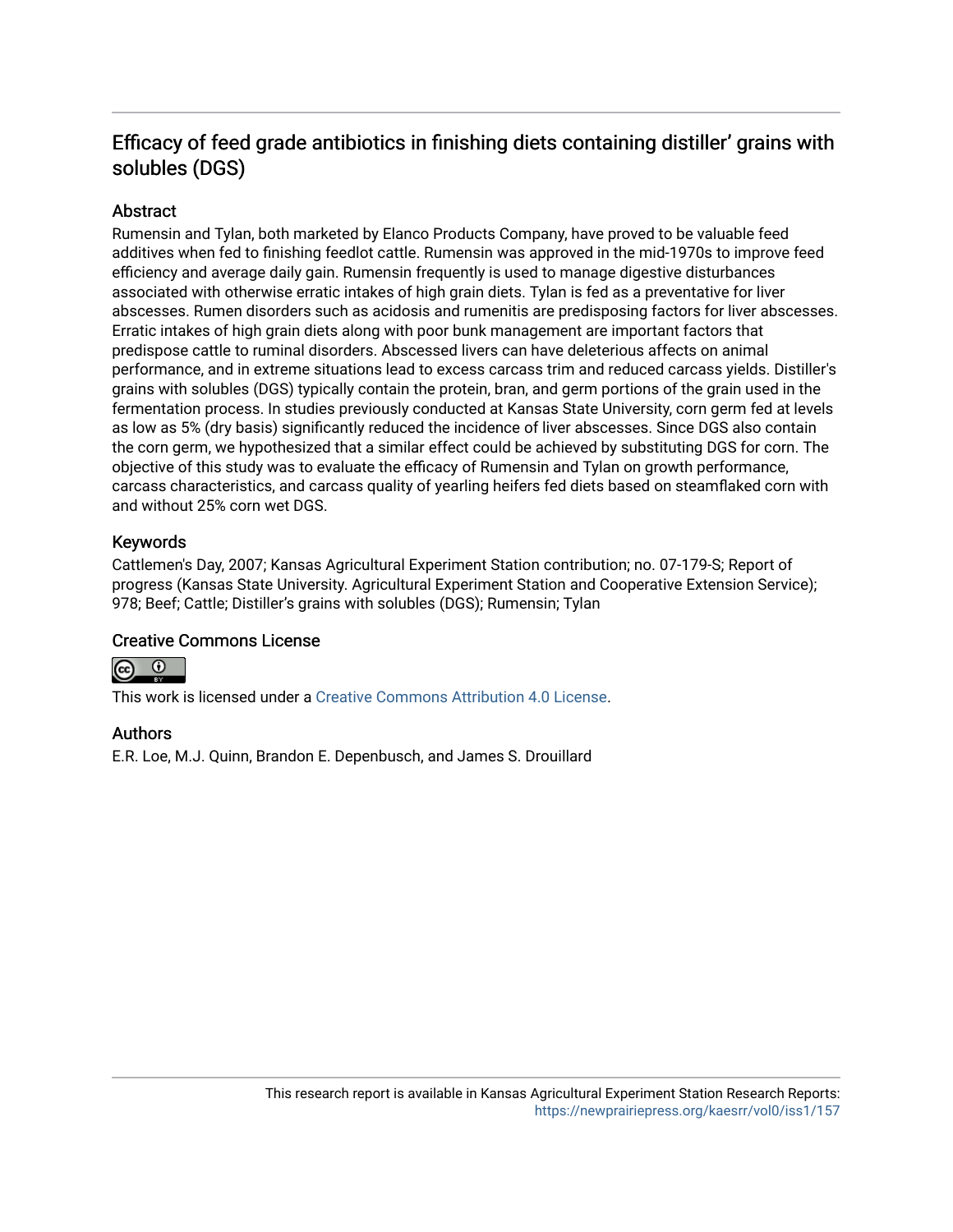### Efficacy of feed grade antibiotics in finishing diets containing distiller' grains with solubles (DGS)

#### Abstract

Rumensin and Tylan, both marketed by Elanco Products Company, have proved to be valuable feed additives when fed to finishing feedlot cattle. Rumensin was approved in the mid-1970s to improve feed efficiency and average daily gain. Rumensin frequently is used to manage digestive disturbances associated with otherwise erratic intakes of high grain diets. Tylan is fed as a preventative for liver abscesses. Rumen disorders such as acidosis and rumenitis are predisposing factors for liver abscesses. Erratic intakes of high grain diets along with poor bunk management are important factors that predispose cattle to ruminal disorders. Abscessed livers can have deleterious affects on animal performance, and in extreme situations lead to excess carcass trim and reduced carcass yields. Distiller's grains with solubles (DGS) typically contain the protein, bran, and germ portions of the grain used in the fermentation process. In studies previously conducted at Kansas State University, corn germ fed at levels as low as 5% (dry basis) significantly reduced the incidence of liver abscesses. Since DGS also contain the corn germ, we hypothesized that a similar effect could be achieved by substituting DGS for corn. The objective of this study was to evaluate the efficacy of Rumensin and Tylan on growth performance, carcass characteristics, and carcass quality of yearling heifers fed diets based on steamflaked corn with and without 25% corn wet DGS.

#### Keywords

Cattlemen's Day, 2007; Kansas Agricultural Experiment Station contribution; no. 07-179-S; Report of progress (Kansas State University. Agricultural Experiment Station and Cooperative Extension Service); 978; Beef; Cattle; Distiller's grains with solubles (DGS); Rumensin; Tylan

#### Creative Commons License



This work is licensed under a [Creative Commons Attribution 4.0 License](https://creativecommons.org/licenses/by/4.0/).

#### Authors

E.R. Loe, M.J. Quinn, Brandon E. Depenbusch, and James S. Drouillard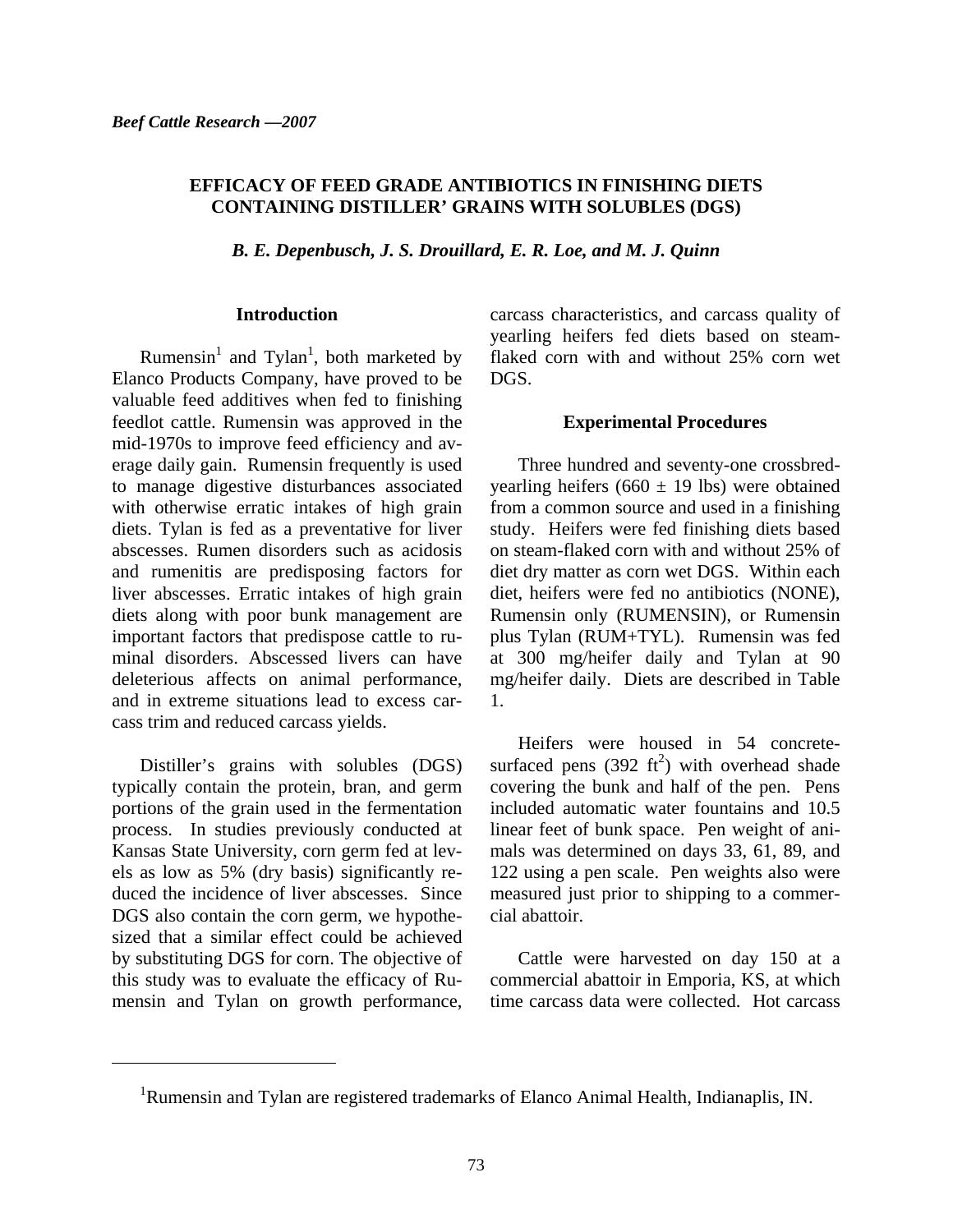#### **EFFICACY OF FEED GRADE ANTIBIOTICS IN FINISHING DIETS CONTAINING DISTILLER' GRAINS WITH SOLUBLES (DGS)**

*B. E. Depenbusch, J. S. Drouillard, E. R. Loe, and M. J. Quinn* 

#### **Introduction**

Rumensin<sup>1</sup> and Tylan<sup>1</sup>, both marketed by Elanco Products Company, have proved to be valuable feed additives when fed to finishing feedlot cattle. Rumensin was approved in the mid-1970s to improve feed efficiency and average daily gain. Rumensin frequently is used to manage digestive disturbances associated with otherwise erratic intakes of high grain diets. Tylan is fed as a preventative for liver abscesses. Rumen disorders such as acidosis and rumenitis are predisposing factors for liver abscesses. Erratic intakes of high grain diets along with poor bunk management are important factors that predispose cattle to ruminal disorders. Abscessed livers can have deleterious affects on animal performance, and in extreme situations lead to excess carcass trim and reduced carcass yields.

Distiller's grains with solubles (DGS) typically contain the protein, bran, and germ portions of the grain used in the fermentation process. In studies previously conducted at Kansas State University, corn germ fed at levels as low as 5% (dry basis) significantly reduced the incidence of liver abscesses. Since DGS also contain the corn germ, we hypothesized that a similar effect could be achieved by substituting DGS for corn. The objective of this study was to evaluate the efficacy of Rumensin and Tylan on growth performance,

 $\overline{a}$ 

carcass characteristics, and carcass quality of yearling heifers fed diets based on steamflaked corn with and without 25% corn wet DGS.

#### **Experimental Procedures**

Three hundred and seventy-one crossbredyearling heifers (660  $\pm$  19 lbs) were obtained from a common source and used in a finishing study. Heifers were fed finishing diets based on steam-flaked corn with and without 25% of diet dry matter as corn wet DGS. Within each diet, heifers were fed no antibiotics (NONE), Rumensin only (RUMENSIN), or Rumensin plus Tylan (RUM+TYL). Rumensin was fed at 300 mg/heifer daily and Tylan at 90 mg/heifer daily. Diets are described in Table 1.

Heifers were housed in 54 concretesurfaced pens  $(392 \text{ ft}^2)$  with overhead shade covering the bunk and half of the pen. Pens included automatic water fountains and 10.5 linear feet of bunk space. Pen weight of animals was determined on days 33, 61, 89, and 122 using a pen scale. Pen weights also were measured just prior to shipping to a commercial abattoir.

Cattle were harvested on day 150 at a commercial abattoir in Emporia, KS, at which time carcass data were collected. Hot carcass

<sup>&</sup>lt;sup>1</sup>Rumensin and Tylan are registered trademarks of Elanco Animal Health, Indianaplis, IN.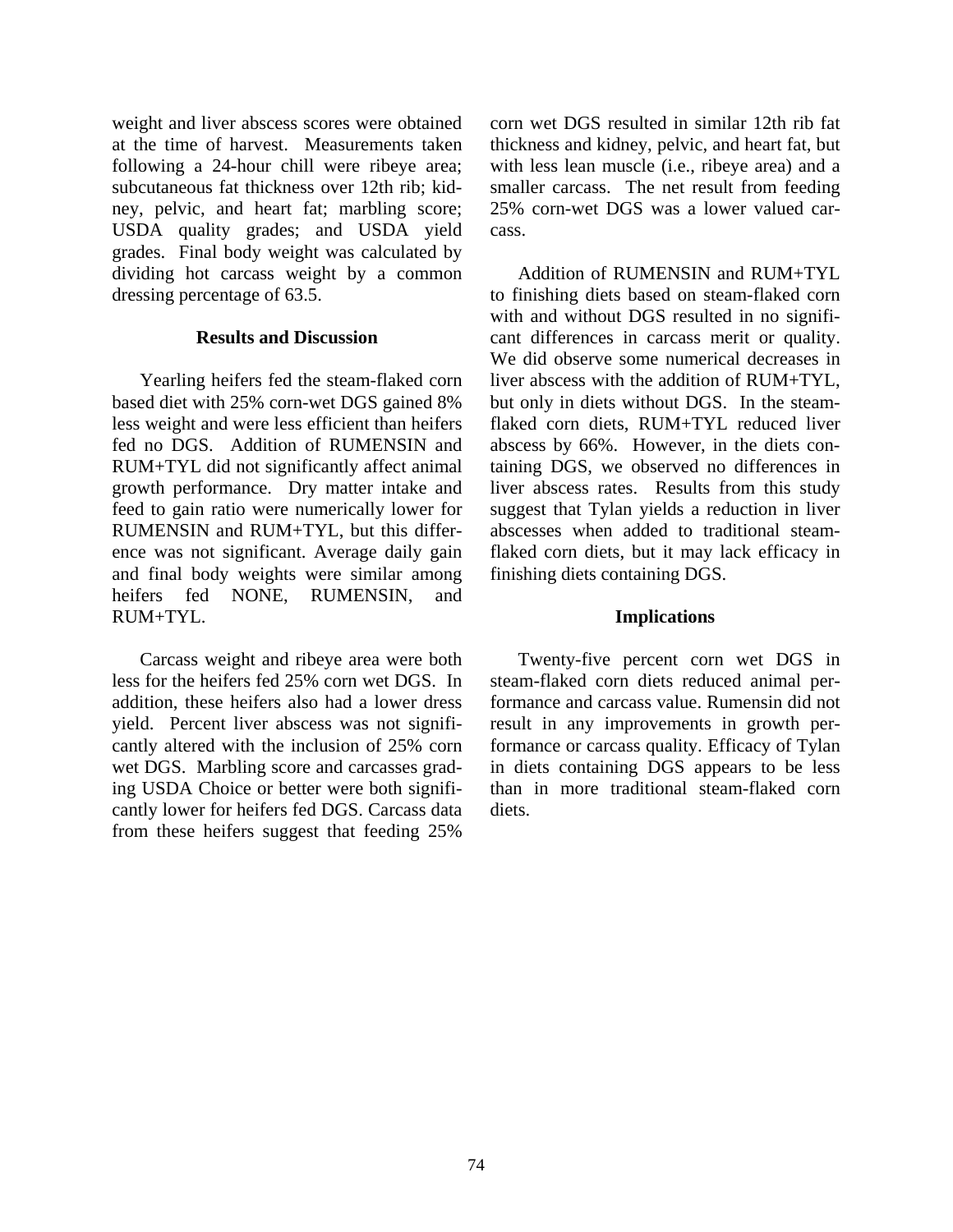weight and liver abscess scores were obtained at the time of harvest. Measurements taken following a 24-hour chill were ribeye area; subcutaneous fat thickness over 12th rib; kidney, pelvic, and heart fat; marbling score; USDA quality grades; and USDA yield grades. Final body weight was calculated by dividing hot carcass weight by a common dressing percentage of 63.5.

#### **Results and Discussion**

Yearling heifers fed the steam-flaked corn based diet with 25% corn-wet DGS gained 8% less weight and were less efficient than heifers fed no DGS. Addition of RUMENSIN and RUM+TYL did not significantly affect animal growth performance. Dry matter intake and feed to gain ratio were numerically lower for RUMENSIN and RUM+TYL, but this difference was not significant. Average daily gain and final body weights were similar among heifers fed NONE, RUMENSIN, and RUM+TYL.

Carcass weight and ribeye area were both less for the heifers fed 25% corn wet DGS. In addition, these heifers also had a lower dress yield. Percent liver abscess was not significantly altered with the inclusion of 25% corn wet DGS. Marbling score and carcasses grading USDA Choice or better were both significantly lower for heifers fed DGS. Carcass data from these heifers suggest that feeding 25%

corn wet DGS resulted in similar 12th rib fat thickness and kidney, pelvic, and heart fat, but with less lean muscle (i.e., ribeye area) and a smaller carcass. The net result from feeding 25% corn-wet DGS was a lower valued carcass.

Addition of RUMENSIN and RUM+TYL to finishing diets based on steam-flaked corn with and without DGS resulted in no significant differences in carcass merit or quality. We did observe some numerical decreases in liver abscess with the addition of RUM+TYL, but only in diets without DGS. In the steamflaked corn diets, RUM+TYL reduced liver abscess by 66%. However, in the diets containing DGS, we observed no differences in liver abscess rates. Results from this study suggest that Tylan yields a reduction in liver abscesses when added to traditional steamflaked corn diets, but it may lack efficacy in finishing diets containing DGS.

#### **Implications**

Twenty-five percent corn wet DGS in steam-flaked corn diets reduced animal performance and carcass value. Rumensin did not result in any improvements in growth performance or carcass quality. Efficacy of Tylan in diets containing DGS appears to be less than in more traditional steam-flaked corn diets.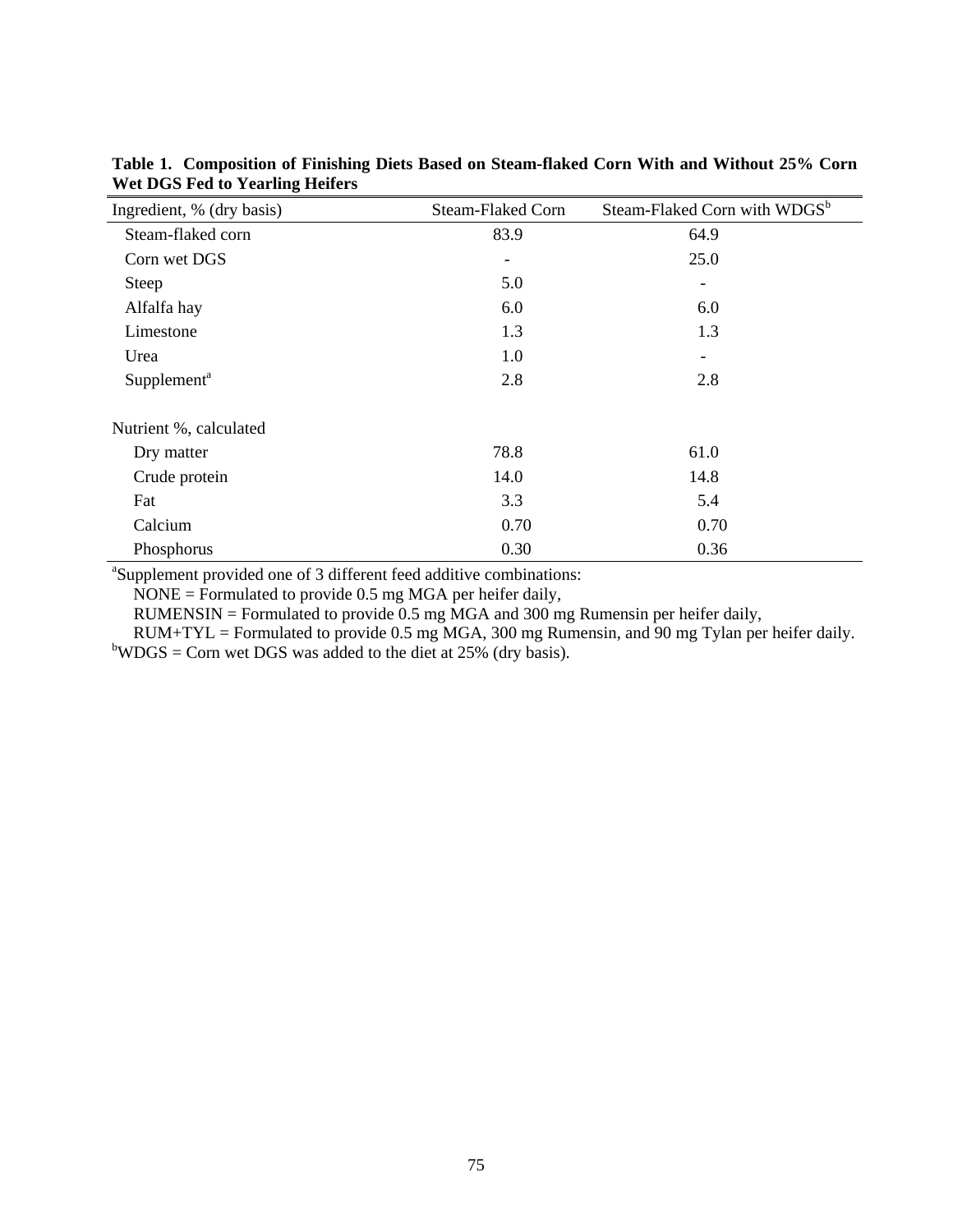| Ingredient, % (dry basis) | Steam-Flaked Corn            | Steam-Flaked Corn with WDGS <sup>b</sup> |  |  |
|---------------------------|------------------------------|------------------------------------------|--|--|
| Steam-flaked corn         | 83.9                         | 64.9                                     |  |  |
| Corn wet DGS              | $\qquad \qquad \blacksquare$ | 25.0                                     |  |  |
| <b>Steep</b>              | 5.0                          | -                                        |  |  |
| Alfalfa hay               | 6.0                          | 6.0                                      |  |  |
| Limestone                 | 1.3                          | 1.3                                      |  |  |
| Urea                      | 1.0                          |                                          |  |  |
| Supplement <sup>a</sup>   | 2.8                          | 2.8                                      |  |  |
| Nutrient %, calculated    |                              |                                          |  |  |
| Dry matter                | 78.8                         | 61.0                                     |  |  |
| Crude protein             | 14.0                         | 14.8                                     |  |  |
| Fat                       | 3.3                          | 5.4                                      |  |  |
| Calcium                   | 0.70                         | 0.70                                     |  |  |
| Phosphorus                | 0.30                         | 0.36                                     |  |  |

**Table 1. Composition of Finishing Diets Based on Steam-flaked Corn With and Without 25% Corn Wet DGS Fed to Yearling Heifers** 

a Supplement provided one of 3 different feed additive combinations:

NONE = Formulated to provide 0.5 mg MGA per heifer daily,

RUMENSIN = Formulated to provide 0.5 mg MGA and 300 mg Rumensin per heifer daily,

 RUM+TYL = Formulated to provide 0.5 mg MGA, 300 mg Rumensin, and 90 mg Tylan per heifer daily.  $b$ WDGS = Corn wet DGS was added to the diet at 25% (dry basis).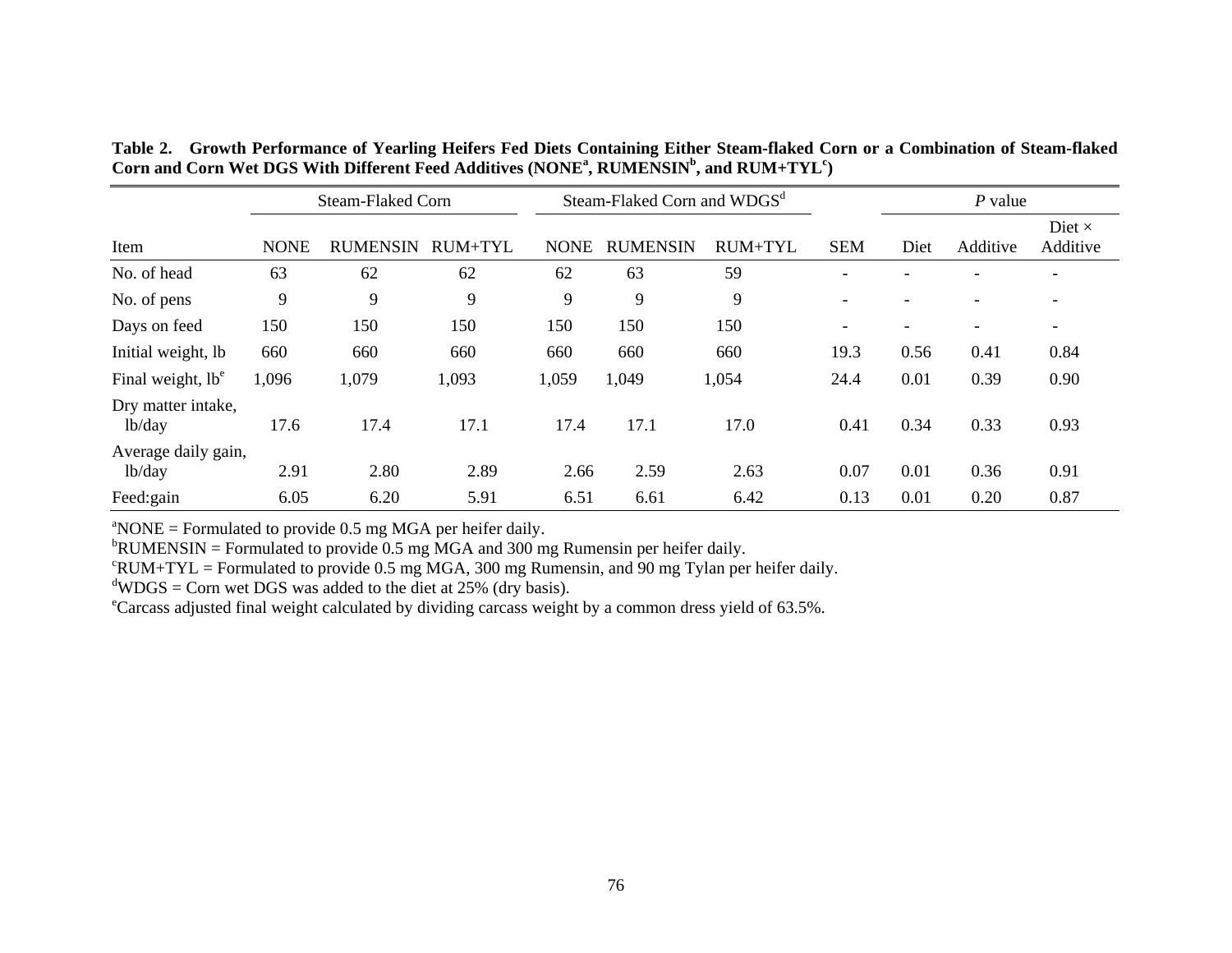| <b>Steam-Flaked Corn</b>      |             |                 | Steam-Flaked Corn and WDGS <sup>d</sup> |             |                 |                | $P$ value                |      |                          |                           |
|-------------------------------|-------------|-----------------|-----------------------------------------|-------------|-----------------|----------------|--------------------------|------|--------------------------|---------------------------|
| Item                          | <b>NONE</b> | <b>RUMENSIN</b> | RUM+TYL                                 | <b>NONE</b> | <b>RUMENSIN</b> | <b>RUM+TYL</b> | <b>SEM</b>               | Diet | Additive                 | Diet $\times$<br>Additive |
| No. of head                   | 63          | 62              | 62                                      | 62          | 63              | 59             | $\overline{\phantom{0}}$ |      |                          |                           |
| No. of pens                   | 9           | 9               | 9                                       | 9           | 9               | 9              | $\overline{\phantom{0}}$ |      | -                        | $\overline{\phantom{0}}$  |
| Days on feed                  | 150         | 150             | 150                                     | 150         | 150             | 150            | $\overline{\phantom{a}}$ |      | $\overline{\phantom{0}}$ | $\overline{\phantom{a}}$  |
| Initial weight, lb            | 660         | 660             | 660                                     | 660         | 660             | 660            | 19.3                     | 0.56 | 0.41                     | 0.84                      |
| Final weight, lb <sup>e</sup> | 1,096       | 1,079           | 1,093                                   | 1,059       | 1,049           | 1,054          | 24.4                     | 0.01 | 0.39                     | 0.90                      |
| Dry matter intake,<br>lb/day  | 17.6        | 17.4            | 17.1                                    | 17.4        | 17.1            | 17.0           | 0.41                     | 0.34 | 0.33                     | 0.93                      |
| Average daily gain,<br>lb/day | 2.91        | 2.80            | 2.89                                    | 2.66        | 2.59            | 2.63           | 0.07                     | 0.01 | 0.36                     | 0.91                      |
| Feed:gain                     | 6.05        | 6.20            | 5.91                                    | 6.51        | 6.61            | 6.42           | 0.13                     | 0.01 | 0.20                     | 0.87                      |

| Table 2. Growth Performance of Yearling Heifers Fed Diets Containing Either Steam-flaked Corn or a Combination of Steam-flaked |
|--------------------------------------------------------------------------------------------------------------------------------|
| Corn and Corn Wet DGS With Different Feed Additives (NONE <sup>a</sup> , RUMENSIN <sup>b</sup> , and RUM+TYL <sup>c</sup> )    |

 $\text{NONE}$  = Formulated to provide 0.5 mg MGA per heifer daily.

 ${}^{\text{b}}$ RUMENSIN = Formulated to provide 0.5 mg MGA and 300 mg Rumensin per heifer daily.

 $\text{F}$ UM+TYL = Formulated to provide 0.5 mg MGA, 300 mg Rumensin, and 90 mg Tylan per heifer daily.

 $\text{d}^{\text{d}}$ WDGS = Corn wet DGS was added to the diet at 25% (dry basis).

eCarcass adjusted final weight calculated by dividing carcass weight by a common dress yield of 63.5%.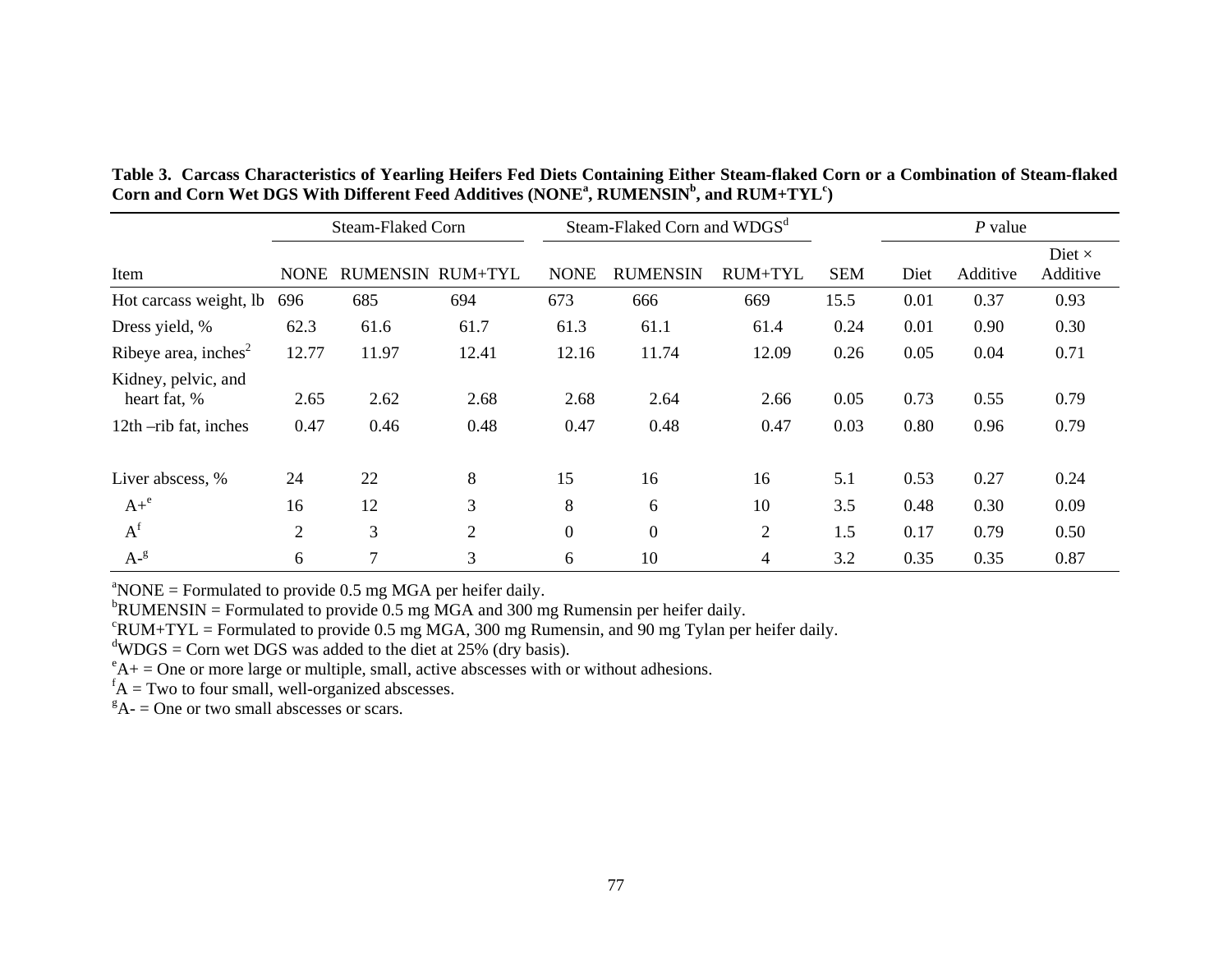|                                     | <b>Steam-Flaked Corn</b> |                         |                | Steam-Flaked Corn and WDGS <sup>d</sup> |                  |                |            | $P$ value |          |                           |
|-------------------------------------|--------------------------|-------------------------|----------------|-----------------------------------------|------------------|----------------|------------|-----------|----------|---------------------------|
| Item                                | <b>NONE</b>              | <b>RUMENSIN RUM+TYL</b> |                | <b>NONE</b>                             | <b>RUMENSIN</b>  | RUM+TYL        | <b>SEM</b> | Diet      | Additive | Diet $\times$<br>Additive |
| Hot carcass weight, lb              | 696                      | 685                     | 694            | 673                                     | 666              | 669            | 15.5       | 0.01      | 0.37     | 0.93                      |
| Dress yield, %                      | 62.3                     | 61.6                    | 61.7           | 61.3                                    | 61.1             | 61.4           | 0.24       | 0.01      | 0.90     | 0.30                      |
| Ribeye area, inches $2$             | 12.77                    | 11.97                   | 12.41          | 12.16                                   | 11.74            | 12.09          | 0.26       | 0.05      | 0.04     | 0.71                      |
| Kidney, pelvic, and<br>heart fat, % | 2.65                     | 2.62                    | 2.68           | 2.68                                    | 2.64             | 2.66           | 0.05       | 0.73      | 0.55     | 0.79                      |
| 12th -rib fat, inches               | 0.47                     | 0.46                    | 0.48           | 0.47                                    | 0.48             | 0.47           | 0.03       | 0.80      | 0.96     | 0.79                      |
| Liver abscess, %                    | 24                       | 22                      | 8              | 15                                      | 16               | 16             | 5.1        | 0.53      | 0.27     | 0.24                      |
| $A+^e$                              | 16                       | 12                      | 3              | 8                                       | 6                | 10             | 3.5        | 0.48      | 0.30     | 0.09                      |
| $A^f$                               | $\overline{2}$           | 3                       | $\overline{2}$ | $\overline{0}$                          | $\boldsymbol{0}$ | $\overline{2}$ | 1.5        | 0.17      | 0.79     | 0.50                      |
| $A-g$                               | 6                        | $\overline{7}$          | 3              | 6                                       | 10               | $\overline{4}$ | 3.2        | 0.35      | 0.35     | 0.87                      |

**Table 3. Carcass Characteristics of Yearling Heifers Fed Diets Containing Either Steam-flaked Corn or a Combination of Steam-flaked**  Corn and Corn Wet DGS With Different Feed Additives (NONE<sup>a</sup>, RUMENSIN<sup>b</sup>, and RUM+TYL<sup>c</sup>)

 $^{\circ}$ NONE = Formulated to provide 0.5 mg MGA per heifer daily.

 $b$ RUMENSIN = Formulated to provide 0.5 mg MGA and 300 mg Rumensin per heifer daily.

 $c$ RUM+TYL = Formulated to provide 0.5 mg MGA, 300 mg Rumensin, and 90 mg Tylan per heifer daily.

 $d$ WDGS = Corn wet DGS was added to the diet at 25% (dry basis).

 $e^{\epsilon}$ A+ = One or more large or multiple, small, active abscesses with or without adhesions.

 ${}^{\text{f}}\text{A}$  = Two to four small, well-organized abscesses.

 ${}^{g}$ A- = One or two small abscesses or scars.